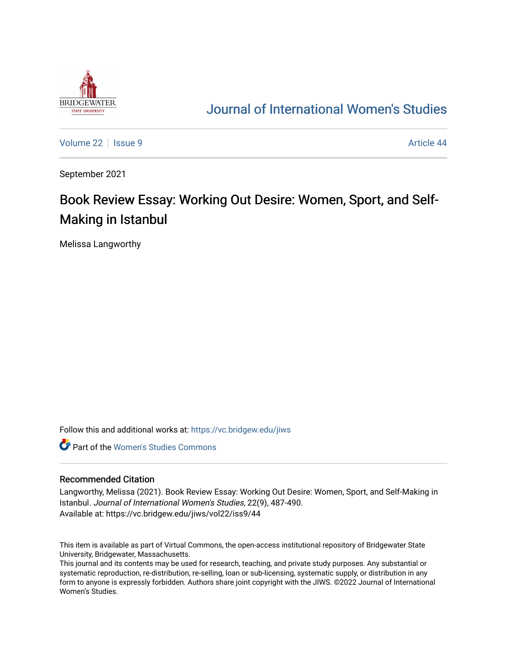

## [Journal of International Women's Studies](https://vc.bridgew.edu/jiws)

[Volume 22](https://vc.bridgew.edu/jiws/vol22) | [Issue 9](https://vc.bridgew.edu/jiws/vol22/iss9) Article 44

September 2021

# Book Review Essay: Working Out Desire: Women, Sport, and Self-Making in Istanbul

Melissa Langworthy

Follow this and additional works at: [https://vc.bridgew.edu/jiws](https://vc.bridgew.edu/jiws?utm_source=vc.bridgew.edu%2Fjiws%2Fvol22%2Fiss9%2F44&utm_medium=PDF&utm_campaign=PDFCoverPages)

**C** Part of the Women's Studies Commons

#### Recommended Citation

Langworthy, Melissa (2021). Book Review Essay: Working Out Desire: Women, Sport, and Self-Making in Istanbul. Journal of International Women's Studies, 22(9), 487-490. Available at: https://vc.bridgew.edu/jiws/vol22/iss9/44

This item is available as part of Virtual Commons, the open-access institutional repository of Bridgewater State University, Bridgewater, Massachusetts.

This journal and its contents may be used for research, teaching, and private study purposes. Any substantial or systematic reproduction, re-distribution, re-selling, loan or sub-licensing, systematic supply, or distribution in any form to anyone is expressly forbidden. Authors share joint copyright with the JIWS. ©2022 Journal of International Women's Studies.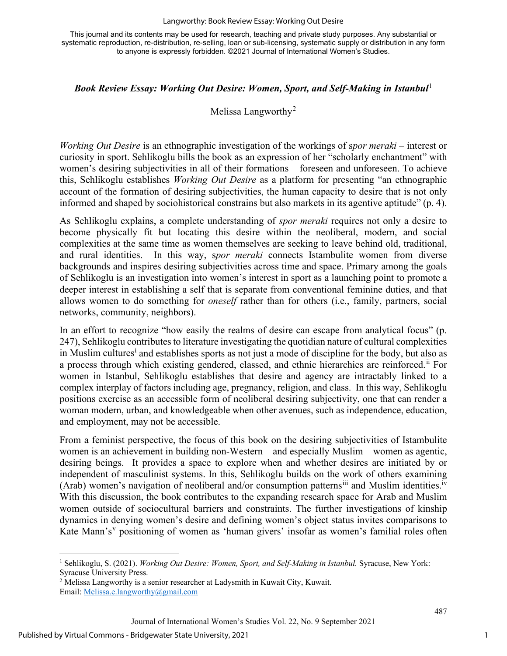#### Langworthy: Book Review Essay: Working Out Desire

This journal and its contents may be used for research, teaching and private study purposes. Any substantial or systematic reproduction, re-distribution, re-selling, loan or sub-licensing, systematic supply or distribution in any form to anyone is expressly forbidden. ©2021 Journal of International Women's Studies.

### **Book Review Essay: Working Out Desire: Women, Sport, and Self-Making in Istanbul<sup>[1](#page-1-0)</sup>**

## Melissa Langworthy<sup>[2](#page-1-1)</sup>

*Working Out Desire* is an ethnographic investigation of the workings of s*por meraki –* interest or curiosity in sport. Sehlikoglu bills the book as an expression of her "scholarly enchantment" with women's desiring subjectivities in all of their formations – foreseen and unforeseen. To achieve this, Sehlikoglu establishes *Working Out Desire* as a platform for presenting "an ethnographic account of the formation of desiring subjectivities, the human capacity to desire that is not only informed and shaped by sociohistorical constrains but also markets in its agentive aptitude" (p. 4).

As Sehlikoglu explains, a complete understanding of *spor meraki* requires not only a desire to become physically fit but locating this desire within the neoliberal, modern, and social complexities at the same time as women themselves are seeking to leave behind old, traditional, and rural identities. In this way, s*por meraki* connects Istambulite women from diverse backgrounds and inspires desiring subjectivities across time and space. Primary among the goals of Sehlikoglu is an investigation into women's interest in sport as a launching point to promote a deeper interest in establishing a self that is separate from conventional feminine duties, and that allows women to do something for *oneself* rather than for others (i.e., family, partners, social networks, community, neighbors).

In an effort to recognize "how easily the realms of desire can escape from analytical focus" (p. 247), Sehlikoglu contributes to literature investigating the quotidian nature of cultural complexities [i](#page-3-0)n Muslim cultures<sup>i</sup> and establishes sports as not just a mode of discipline for the body, but also as a process through which existing gendered, classed, and ethnic hierarchies are reinforced.<sup>[ii](#page-3-1)</sup> For women in Istanbul, Sehlikoglu establishes that desire and agency are intractably linked to a complex interplay of factors including age, pregnancy, religion, and class. In this way, Sehlikoglu positions exercise as an accessible form of neoliberal desiring subjectivity, one that can render a woman modern, urban, and knowledgeable when other avenues, such as independence, education, and employment, may not be accessible.

From a feminist perspective, the focus of this book on the desiring subjectivities of Istambulite women is an achievement in building non-Western – and especially Muslim – women as agentic, desiring beings. It provides a space to explore when and whether desires are initiated by or independent of masculinist systems. In this, Sehlikoglu builds on the work of others examining (Arab) women's navigation of neoliberal and/or consumption patterns<sup>[iii](#page-3-2)</sup> and Muslim identities.<sup>[iv](#page-4-0)</sup> With this discussion, the book contributes to the expanding research space for Arab and Muslim women outside of sociocultural barriers and constraints. The further investigations of kinship dynamics in denying women's desire and defining women's object status invites comparisons to Kate Mann's<sup>[v](#page-4-1)</sup> positioning of women as 'human givers' insofar as women's familial roles often

487

<span id="page-1-0"></span><sup>1</sup> Sehlikoglu, S. (2021). *Working Out Desire: Women, Sport, and Self-Making in Istanbul.* Syracuse, New York: Syracuse University Press.<br><sup>2</sup> Melissa Langworthy is a senior researcher at Ladysmith in Kuwait City, Kuwait.

<span id="page-1-1"></span>Email: [Melissa.e.langworthy@gmail.com](mailto:Melissa.e.langworthy@gmail.com)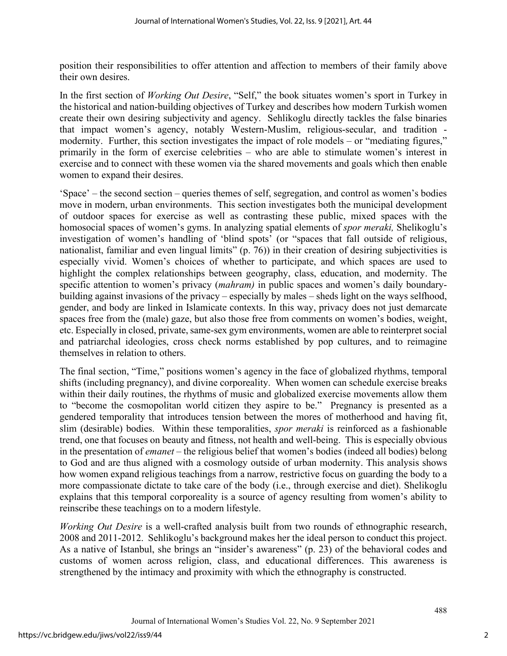position their responsibilities to offer attention and affection to members of their family above their own desires.

In the first section of *Working Out Desire*, "Self," the book situates women's sport in Turkey in the historical and nation-building objectives of Turkey and describes how modern Turkish women create their own desiring subjectivity and agency. Sehlikoglu directly tackles the false binaries that impact women's agency, notably Western-Muslim, religious-secular, and tradition modernity. Further, this section investigates the impact of role models – or "mediating figures," primarily in the form of exercise celebrities – who are able to stimulate women's interest in exercise and to connect with these women via the shared movements and goals which then enable women to expand their desires.

'Space' – the second section – queries themes of self, segregation, and control as women's bodies move in modern, urban environments. This section investigates both the municipal development of outdoor spaces for exercise as well as contrasting these public, mixed spaces with the homosocial spaces of women's gyms. In analyzing spatial elements of *spor meraki,* Shelikoglu's investigation of women's handling of 'blind spots' (or "spaces that fall outside of religious, nationalist, familiar and even lingual limits" (p. 76)) in their creation of desiring subjectivities is especially vivid. Women's choices of whether to participate, and which spaces are used to highlight the complex relationships between geography, class, education, and modernity. The specific attention to women's privacy (*mahram)* in public spaces and women's daily boundarybuilding against invasions of the privacy – especially by males – sheds light on the ways selfhood, gender, and body are linked in Islamicate contexts. In this way, privacy does not just demarcate spaces free from the (male) gaze, but also those free from comments on women's bodies, weight, etc. Especially in closed, private, same-sex gym environments, women are able to reinterpret social and patriarchal ideologies, cross check norms established by pop cultures, and to reimagine themselves in relation to others.

The final section, "Time," positions women's agency in the face of globalized rhythms, temporal shifts (including pregnancy), and divine corporeality. When women can schedule exercise breaks within their daily routines, the rhythms of music and globalized exercise movements allow them to "become the cosmopolitan world citizen they aspire to be." Pregnancy is presented as a gendered temporality that introduces tension between the mores of motherhood and having fit, slim (desirable) bodies. Within these temporalities, *spor meraki* is reinforced as a fashionable trend, one that focuses on beauty and fitness, not health and well-being. This is especially obvious in the presentation of *emanet –* the religious belief that women's bodies (indeed all bodies) belong to God and are thus aligned with a cosmology outside of urban modernity. This analysis shows how women expand religious teachings from a narrow, restrictive focus on guarding the body to a more compassionate dictate to take care of the body (i.e., through exercise and diet). Shelikoglu explains that this temporal corporeality is a source of agency resulting from women's ability to reinscribe these teachings on to a modern lifestyle.

*Working Out Desire* is a well-crafted analysis built from two rounds of ethnographic research, 2008 and 2011-2012. Sehlikoglu's background makes her the ideal person to conduct this project. As a native of Istanbul, she brings an "insider's awareness" (p. 23) of the behavioral codes and customs of women across religion, class, and educational differences. This awareness is strengthened by the intimacy and proximity with which the ethnography is constructed.

488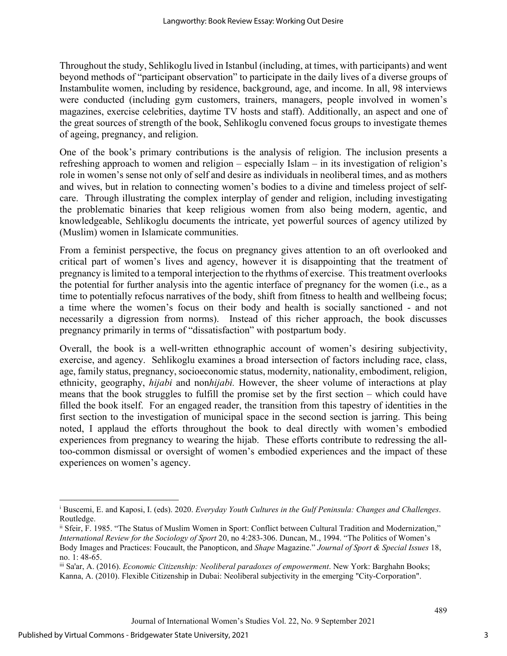Throughout the study, Sehlikoglu lived in Istanbul (including, at times, with participants) and went beyond methods of "participant observation" to participate in the daily lives of a diverse groups of Instambulite women, including by residence, background, age, and income. In all, 98 interviews were conducted (including gym customers, trainers, managers, people involved in women's magazines, exercise celebrities, daytime TV hosts and staff). Additionally, an aspect and one of the great sources of strength of the book, Sehlikoglu convened focus groups to investigate themes of ageing, pregnancy, and religion.

One of the book's primary contributions is the analysis of religion. The inclusion presents a refreshing approach to women and religion – especially Islam – in its investigation of religion's role in women's sense not only of self and desire as individuals in neoliberal times, and as mothers and wives, but in relation to connecting women's bodies to a divine and timeless project of selfcare. Through illustrating the complex interplay of gender and religion, including investigating the problematic binaries that keep religious women from also being modern, agentic, and knowledgeable, Sehlikoglu documents the intricate, yet powerful sources of agency utilized by (Muslim) women in Islamicate communities.

From a feminist perspective, the focus on pregnancy gives attention to an oft overlooked and critical part of women's lives and agency, however it is disappointing that the treatment of pregnancy is limited to a temporal interjection to the rhythms of exercise. This treatment overlooks the potential for further analysis into the agentic interface of pregnancy for the women (i.e., as a time to potentially refocus narratives of the body, shift from fitness to health and wellbeing focus; a time where the women's focus on their body and health is socially sanctioned - and not necessarily a digression from norms). Instead of this richer approach, the book discusses pregnancy primarily in terms of "dissatisfaction" with postpartum body.

Overall, the book is a well-written ethnographic account of women's desiring subjectivity, exercise, and agency. Sehlikoglu examines a broad intersection of factors including race, class, age, family status, pregnancy, socioeconomic status, modernity, nationality, embodiment, religion, ethnicity, geography, *hijabi* and non*hijabi.* However, the sheer volume of interactions at play means that the book struggles to fulfill the promise set by the first section – which could have filled the book itself. For an engaged reader, the transition from this tapestry of identities in the first section to the investigation of municipal space in the second section is jarring. This being noted, I applaud the efforts throughout the book to deal directly with women's embodied experiences from pregnancy to wearing the hijab. These efforts contribute to redressing the alltoo-common dismissal or oversight of women's embodied experiences and the impact of these experiences on women's agency.

<span id="page-3-0"></span><sup>i</sup> Buscemi, E. and Kaposi, I. (eds). 2020. *Everyday Youth Cultures in the Gulf Peninsula: Changes and Challenges*. Routledge.

<span id="page-3-1"></span>ii Sfeir, F. 1985. "The Status of Muslim Women in Sport: Conflict between Cultural Tradition and Modernization," *International Review for the Sociology of Sport* 20, no 4:283-306. Duncan, M., 1994. "The Politics of Women's Body Images and Practices: Foucault, the Panopticon, and *Shape* Magazine." *Journal of Sport & Special Issues* 18, no. 1: 48-65.<br>iii Sa'ar, A. (2016). *Economic Citizenship: Neoliberal paradoxes of empowerment*. New York: Barghahn Books;

<span id="page-3-2"></span>Kanna, A. (2010). Flexible Citizenship in Dubai: Neoliberal subjectivity in the emerging "City-Corporation".